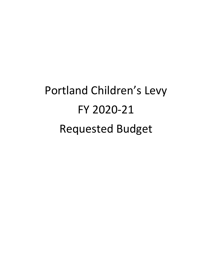# Portland Children's Levy FY 2020‐21 Requested Budget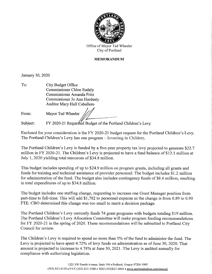

Office of Mayor Ted Wheeler City of Portland

#### **MEMORANDUM**

January 30, 2020

To: **City Budget Office** Commissioner Chloe Eudaly Commissioner Amanda Fritz Commissioner Jo Ann Hardesty **Auditor Mary Hull Caballero** 

From: Mayor Ted Wheeler

Subject: FY 2020-21 Requested Budget of the Portland Children's Levy

Enclosed for your consideration is the FY 2020-21 budget request for the Portland Children's Levy. The Portland Children's Levy has one program – Investing in Children.

The Portland Children's Levy is funded by a five-year property tax levy projected to generate \$22.7 million in FY 2020-21. The Children's Levy is projected to have a fund balance of \$12.1 million at July 1, 2020 yielding total resources of \$34.8 million.

This budget includes spending of up to \$24.9 million on program grants, including all grants and funds for training and technical assistance of provider personnel. The budget includes \$1.2 million for administration of the fund. The budget also includes contingency funds of \$8.6 million, resulting in total expenditures of up to \$34.8 million.

The budget includes one staffing change, requesting to increase one Grant Manager position from part-time to full-time. This will add \$1,782 to personnel expense as the change is from 0.89 to 0.90 FTE. CBO determined this change was too small to merit a decision package.

The Portland Children's Levy currently funds 74 grant programs with budgets totaling \$19 million. The Portland Children's Levy Allocation Committee will make program funding recommendations for FY 2020-21 in the spring of 2020. These recommendations will be submitted to Portland City Council for review.

The Children's Levy is required to spend no more than 5% of the fund to administer the fund. The Levy is projected to have spent 4.72% of levy funds on administration as of June 30, 2020. That amount is projected to increase to 4.78% at June 30, 2021. The Levy is audited annually for compliance with authorizing legislation.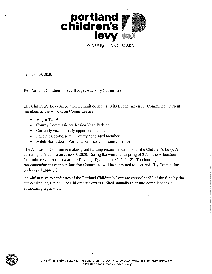

January 29, 2020

Re: Portland Children's Levy Budget Advisory Committee

The Children's Levy Allocation Committee serves as its Budget Advisory Committee. Current members of the Allocation Committee are:

- Mayor Ted Wheeler  $\bullet$
- County Commissioner Jessica Vega Pederson
- Currently vacant City appointed member
- Felicia Tripp-Folsom County appointed member  $\bullet$
- Mitch Hornecker Portland business community member  $\bullet$

The Allocation Committee makes grant funding recommendations for the Children's Levy. All current grants expire on June 30, 2020. During the winter and spring of 2020, the Allocation Committee will meet to consider funding of grants for FY 2020-21. The funding recommendations of the Allocation Committee will be submitted to Portland City Council for review and approval.

Administrative expenditures of the Portland Children's Levy are capped at 5% of the fund by the authorizing legislation. The Children's Levy is audited annually to ensure compliance with authorizing legislation.

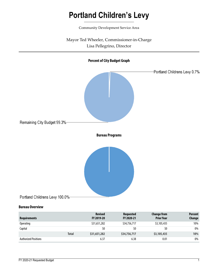## **Portland Children's Levy**

Community Development Service Area

Mayor Ted Wheeler, Commissioner-in-Charge Lisa Pellegrino, Director



#### **Bureau Overview**

| Requirements                |              | <b>Revised</b><br>FY 2019-20 | Requested<br>FY 2020-21 | <b>Change from</b><br><b>Prior Year</b> | <b>Percent</b><br>Change |
|-----------------------------|--------------|------------------------------|-------------------------|-----------------------------------------|--------------------------|
| <b>Operating</b>            |              | \$31,651,282                 | \$34,756,717            | \$3,105,435                             | 10%                      |
| Capital                     |              | \$0                          | \$0                     | \$0                                     | 0%                       |
|                             | <b>Total</b> | \$31,651,282                 | \$34,756,717            | \$3,105,435                             | 10%                      |
| <b>Authorized Positions</b> |              | 6.37                         | 6.38                    | 0.01                                    | 0%                       |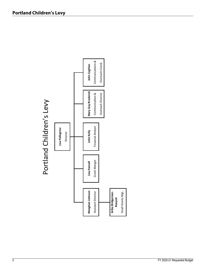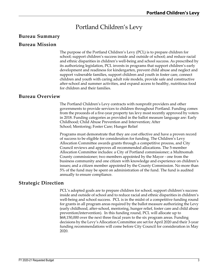## Portland Children's Levy

## **Bureau Summary**

## **Bureau Mission**

The purpose of the Portland Children's Levy (PCL) is to prepare children for school; support children's success inside and outside of school; and reduce racial and ethnic disparities in children's well-being and school success. As prescribed by its authorizing legislation, PCL invests in programs that support children's early development and readiness for kindergarten, prevent child abuse and neglect and support vulnerable families, support children and youth in foster care, connect children and youth with caring adult role models, provide safe and constructive after-school and summer activities, and expand access to healthy, nutritious food for children and their families.

## **Bureau Overview**

The Portland Children's Levy contracts with nonprofit providers and other governments to provide services to children throughout Portland. Funding comes from the proceeds of a five-year property tax levy most recently approved by voters in 2018. Funding categories as provided in the ballot measure language are: Early Childhood; Child Abuse Prevention and Intervention; After School; Mentoring; Foster Care; Hunger Relief

Programs must demonstrate that they are cost effective and have a proven record of success to be eligible for consideration for funding. The Children's Levy Allocation Committee awards grants through a competitive process, and City Council reviews and approves all recommended allocations. The 5-member Allocation Committee includes: a City of Portland commissioner; a Multnomah County commissioner; two members appointed by the Mayor - one from the business community and one citizen with knowledge and experience on children's issues; and a citizen member appointed by the County Commission. No more than 5% of the fund may be spent on administration of the fund. The fund is audited annually to ensure compliance.

## **Strategic Direction**

PCL's adopted goals are to prepare children for school, support children's success inside and outside of school and to reduce racial and ethnic disparities in children's well-being and school success. PCL is in the midst of a competitive funding round for grants in all program areas required by the ballot measure authorizing the Levy (early childhood, after-school, mentoring, hunger relief, foster care and child abuse prevention/intervention). In this funding round, PCL will allocate up to \$68,150,000 over the next three fiscal years to the six program areas. Funding decisions by the Levy's Allocation Committee are set for April 2020 and their 3-year funding recommendations will come before City Council for consideration in May 2020.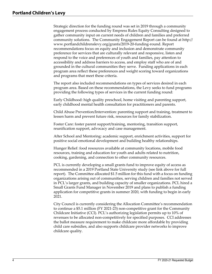Strategic direction for the funding round was set in 2019 through a community engagement process conducted by Empress Rules Equity Consulting designed to gather community input on current needs of children and families and preferred community solutions. The Community Engagement Report can be found at http:// www.portlandchildrenslevy.org/grants/2019-20-funding-round. Report recommendations focus on equity and inclusion and demonstrate community preference for services that are culturally relevant and responsive, listen and respond to the voice and preferences of youth and families, pay attention to accessibility and address barriers to access, and employ staff who are of and grounded in the cultural communities they serve. Funding applications in each program area reflect these preferences and weight scoring toward organizations and programs that meet these criteria.

The report also included recommendations on types of services desired in each program area. Based on these recommendations, the Levy seeks to fund programs providing the following types of services in the current funding round:

Early Childhood: high quality preschool, home visiting and parenting support, early childhood mental health consultation for practitioners and parents.

Child Abuse Prevention/Intervention: parenting support and training, treatment to lessen harm and prevent future risk, resources for family stabilization.

Foster Care: foster parent support/training, mentoring, transition support, reunification support, advocacy and case management.

After School and Mentoring: academic support, enrichment activities, support for positive social emotional development and building healthy relationships.

Hunger Relief: food resources available at community locations, mobile food resources, training and education for youth and adults related to nutrition, cooking, gardening, and connection to other community resources.

PCL is currently developing a small grants fund to improve equity of access as recommended in a 2019 Portland State University study (see link above for full report). The Committee allocated \$1.5 million for this fund with a focus on funding organizations arising out of communities, serving children and families not served in PCL's larger grants, and building capacity of smaller organizations. PCL hired a Small Grants Fund Manager in November 2019 and plans to publish a funding application for competitive grants in summer 2020, with funding to begin in early 2021.

City Council is currently considering the Allocation Committee's recommendation to continue a \$5.1 million (FY 2021-23) non-competitive grant for the Community Childcare Initiative (CCI). PCL's authorizing legislation permits up to 10% of revenues to be allocated non-competitively for specified purposes. CCI addresses the ballot measure requirement to make childcare more affordable by providing child care subsidies, and also supports childcare provider networks to improve childcare quality.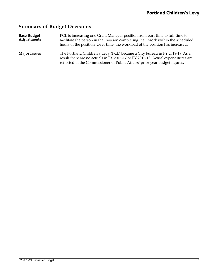## **Summary of Budget Decisions**

| <b>Base Budget<br/>Adjustments</b> | PCL is increasing one Grant Manager position from part-time to full-time to<br>facilitate the person in that postion completing their work within the scheduled<br>hours of the position. Over time, the workload of the position has increased. |
|------------------------------------|--------------------------------------------------------------------------------------------------------------------------------------------------------------------------------------------------------------------------------------------------|
| <b>Major Issues</b>                | The Portland Children's Levy (PCL) became a City bureau in FY 2018-19. As a<br>result there are no actuals in FY 2016-17 or FY 2017-18. Actual expenditures are<br>reflected in the Commissioner of Public Affairs' prior year budget figures.   |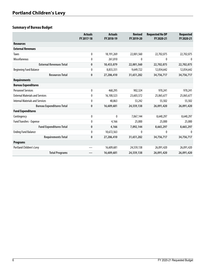## **Summary of Bureau Budget**

|                                        | <b>Actuals</b><br>FY 2017-18 | <b>Actuals</b><br>FY 2018-19 | <b>Revised</b><br>FY 2019-20 | <b>Requested No DP</b><br>FY 2020-21 | <b>Requested</b><br>FY 2020-21 |
|----------------------------------------|------------------------------|------------------------------|------------------------------|--------------------------------------|--------------------------------|
| <b>Resources</b>                       |                              |                              |                              |                                      |                                |
| <b>External Revenues</b>               |                              |                              |                              |                                      |                                |
| <b>Taxes</b>                           | 0                            | 18,191,269                   | 22,001,560                   | 22,702,075                           | 22,702,075                     |
| <b>Miscellaneous</b>                   | 0                            | 261,810                      | 0                            | $\mathbf{0}$                         | 0                              |
| <b>External Revenues Total</b>         | $\bf{0}$                     | 18,453,079                   | 22,001,560                   | 22,702,075                           | 22,702,075                     |
| <b>Beginning Fund Balance</b>          | 0                            | 8,833,331                    | 9,649,722                    | 12,054,642                           | 12,054,642                     |
| <b>Resources Total</b>                 | $\bf{0}$                     | 27,286,410                   | 31,651,282                   | 34,756,717                           | 34,756,717                     |
| <b>Requirements</b>                    |                              |                              |                              |                                      |                                |
| <b>Bureau Expenditures</b>             |                              |                              |                              |                                      |                                |
| <b>Personnel Services</b>              | 0                            | 468,295                      | 902,324                      | 970,241                              | 970,241                        |
| <b>External Materials and Services</b> | 0                            | 16,100,523                   | 23,603,572                   | 25,065,677                           | 25,065,677                     |
| <b>Internal Materials and Services</b> | 0                            | 40,863                       | 53,242                       | 55,502                               | 55,502                         |
| <b>Bureau Expenditures Total</b>       | $\bf{0}$                     | 16,609,681                   | 24,559,138                   | 26,091,420                           | 26,091,420                     |
| <b>Fund Expenditures</b>               |                              |                              |                              |                                      |                                |
| Contingency                            | 0                            | 0                            | 7,067,144                    | 8,640,297                            | 8,640,297                      |
| Fund Transfers - Expense               | 0                            | 4.166                        | 25,000                       | 25,000                               | 25,000                         |
| <b>Fund Expenditures Total</b>         | $\bf{0}$                     | 4,166                        | 7,092,144                    | 8,665,297                            | 8,665,297                      |
| <b>Ending Fund Balance</b>             | 0                            | 10,672,563                   | 0                            | $\mathbf{0}$                         | 0                              |
| <b>Requirements Total</b>              | $\bf{0}$                     | 27,286,410                   | 31,651,282                   | 34,756,717                           | 34,756,717                     |
| <b>Programs</b>                        |                              |                              |                              |                                      |                                |
| Portland Children's Levy               |                              | 16,609,681                   | 24,559,138                   | 26,091,420                           | 26,091,420                     |
| <b>Total Programs</b>                  |                              | 16,609,681                   | 24,559,138                   | 26,091,420                           | 26,091,420                     |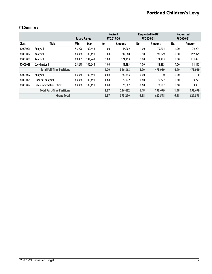## **FTE Summary**

|              |                                   |        | <b>Revised</b><br><b>Salary Range</b><br>FY 2019-20 |      |         | <b>Requested No DP</b><br>FY 2020-21 |         | <b>Requested</b><br>FY 2020-21 |              |
|--------------|-----------------------------------|--------|-----------------------------------------------------|------|---------|--------------------------------------|---------|--------------------------------|--------------|
| <b>Class</b> | <b>Title</b>                      | Min    | Max                                                 | No.  | Amount  | No.                                  | Amount  | No.                            | Amount       |
| 30003006     | Analyst I                         | 53,290 | 102,648                                             | 1.00 | 46,202  | 1.00                                 | 79,204  | 1.00                           | 79,204       |
| 30003007     | Analyst II                        | 63,336 | 109,491                                             | 1.00 | 97,980  | 1.90                                 | 192,029 | 1.90                           | 192,029      |
| 30003008     | Analyst III                       | 69,805 | 131,248                                             | 1.00 | 121,493 | 1.00                                 | 121,493 | 1.00                           | 121,493      |
| 30003028     | Coordinator II                    | 53,290 | 102,648                                             | 1.00 | 81,193  | 1.00                                 | 81,193  | 1.00                           | 81,193       |
|              | <b>Total Full-Time Positions</b>  |        |                                                     | 4.00 | 346,868 | 4.90                                 | 473,919 | 4.90                           | 473,919      |
| 30003007     | Analyst II                        | 63,336 | 109,491                                             | 0.89 | 92,743  | 0.00                                 | 0       | 0.00                           | $\mathbf{0}$ |
| 30003055     | <b>Financial Analyst II</b>       | 63,336 | 109,491                                             | 0.80 | 79.772  | 0.80                                 | 79.772  | 0.80                           | 79.772       |
| 30003097     | <b>Public Information Officer</b> | 63,336 | 109,491                                             | 0.68 | 73,907  | 0.68                                 | 73,907  | 0.68                           | 73,907       |
|              | <b>Total Part-Time Positions</b>  |        |                                                     | 2.37 | 246,422 | 1.48                                 | 153,679 | 1.48                           | 153,679      |
|              | <b>Grand Total</b>                |        |                                                     | 6.37 | 593,290 | 6.38                                 | 627,598 | 6.38                           | 627,598      |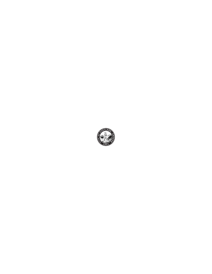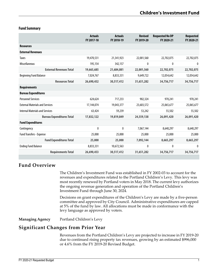#### **Fund Summary**

| <b>Actuals</b><br>FY 2017-18 | <b>Actuals</b><br>FY 2018-19                                                                                                                                | <b>Revised</b><br>FY 2019-20 | <b>Requested No DP</b><br>FY 2020-21 | <b>Requested</b><br>FY 2020-21 |
|------------------------------|-------------------------------------------------------------------------------------------------------------------------------------------------------------|------------------------------|--------------------------------------|--------------------------------|
|                              |                                                                                                                                                             |                              |                                      |                                |
|                              |                                                                                                                                                             |                              |                                      |                                |
| 19,470,531                   | 21,341,923                                                                                                                                                  | 22,001,560                   | 22,702,075                           | 22,702,075                     |
| 195,154                      | 342,157                                                                                                                                                     | 0                            | $\mathbf{0}$                         | 0                              |
| 19,665,685                   | 21,684,081                                                                                                                                                  | 22,001,560                   | 22,702,075                           | 22,702,075                     |
| 7,024,767                    | 8,833,331                                                                                                                                                   | 9,649,722                    | 12,054,642                           | 12,054,642                     |
| 26,690,452                   | 30,517,412                                                                                                                                                  | 31,651,282                   | 34,756,717                           | 34,756,717                     |
|                              |                                                                                                                                                             |                              |                                      |                                |
|                              |                                                                                                                                                             |                              |                                      |                                |
| 624,624                      | 717,233                                                                                                                                                     | 902,324                      | 970,241                              | 970,241                        |
| 17,144,074                   | 19,043,377                                                                                                                                                  | 23,603,572                   | 25,065,677                           | 25,065,677                     |
| 63,424                       | 59,239                                                                                                                                                      | 53,242                       | 55,502                               | 55,502                         |
| 17,832,122                   | 19,819,849                                                                                                                                                  | 24,559,138                   | 26,091,420                           | 26,091,420                     |
|                              |                                                                                                                                                             |                              |                                      |                                |
| 0                            | 0                                                                                                                                                           | 7,067,144                    | 8,640,297                            | 8,640,297                      |
| 25,000                       | 25,000                                                                                                                                                      | 25,000                       | 25,000                               | 25,000                         |
| 25,000                       | 25,000                                                                                                                                                      | 7,092,144                    | 8,665,297                            | 8,665,297                      |
| 8,833,331                    | 10,672,563                                                                                                                                                  | $\mathbf{0}$                 | $\mathbf{0}$                         | 0                              |
| 26,690,453                   | 30,517,412                                                                                                                                                  | 31,651,282                   | 34,756,717                           | 34,756,717                     |
|                              | <b>External Revenues Total</b><br><b>Resources Total</b><br><b>Bureau Expenditures Total</b><br><b>Fund Expenditures Total</b><br><b>Requirements Total</b> |                              |                                      |                                |

## **Fund Overview**

The Children's Investment Fund was established in FY 2002-03 to account for the revenues and expenditures related to the Portland Children's Levy. This levy was most recently renewed by Portland voters in May 2018. The current levy authorizes the ongoing revenue generation and operation of the Portland Children's Investment Fund through June 30, 2024.

Decisions on grant expenditures of the Children's Levy are made by a five-person committee and approved by City Council. Administrative expenditures are capped at 5% of the fund by law. All allocations must be made in conformance with the levy language as approved by voters.

**Managing Agency** Portland Children's Levy

## **Significant Changes from Prior Year**

Revenues from the Portland Children's Levy are projected to increase in FY 2019-20 due to continued rising property tax revenues, growing by an estimated \$996,000 or 4.6% from the FY 2019-20 Revised Budget.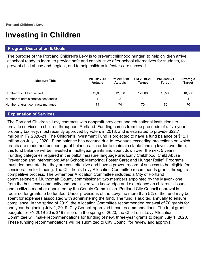## **Investing in Children**

## **Program Description & Goals**

The purpose of the Portland Children's Levy is to prevent childhood hunger, to help children arrive at school ready to learn, to provide safe and constructive after-school alternatives for students, to prevent child abuse and neglect, and to help children in foster care succeed.

| <b>Measure Title</b>                 | PM 2017-18<br><b>Actuals</b> | PM 2018-19<br><b>Actuals</b> | PM 2019-20<br>Target | PM 2020-21<br><b>Target</b> | <b>Strategic</b><br><b>Target</b> |
|--------------------------------------|------------------------------|------------------------------|----------------------|-----------------------------|-----------------------------------|
| Number of children served            | 12.000                       | 12.000                       | 12.000               | 10.500                      | 10.500                            |
| Number of administrative cost audits |                              | 2                            |                      |                             |                                   |
| Number of grant contracts managed    | 74                           | 74                           | 70                   | 70                          | 70                                |

### **Explanation of Services**

The Portland Children's Levy contracts with nonprofit providers and educational institutions to provide services to children throughout Portland. Funding comes from the proceeds of a five-year property tax levy, most recently approved by voters in 2018, and is estimated to provide \$22.7 million in FY 2020-21. The Children's Investment Fund is projected to have a fund balance of \$12.1 million on July 1, 2020. Fund balance has accrued due to revenues exceeding projections on which grants are made and unspent grant balances. In order to maintain stable funding levels over time, this fund balance will be invested in multi-year grants and spent down over the next 5 years. Funding categories required in the ballot measure language are: Early Childhood; Child Abuse Prevention and Intervention; After School; Mentoring; Foster Care; and Hunger Relief. Programs must demonstrate that they are cost effective and have a proven record of success to be eligible for consideration for funding. The Children's Levy Allocation Committee recommends grants through a competitive process. The 5-member Allocation Committee includes: a City of Portland commissioner; a Multnomah County commissioner; two members appointed by the Mayor - one from the business community and one citizen with knowledge and experience on children's issues; and a citizen member appointed by the County Commission. Portland City Council approval is required for grants to be funded. Under provisions of the Levy, no more than 5% of the fund may be spent for expenses associated with administering the fund. The fund is audited annually to ensure compliance. In the spring of 2019, the Allocation Committee recommended renewal of 70 grants for one year, beginning July 1, 2019; City Council approved these recommendations. The total grant budgets for FY 2019-20 is \$19 million. In the spring of 2020, the Children's Levy Allocation Committee will make recommendations for funding of new, three-year grants to begin July 1, 2020. These funding recommendations will be submitted to City Council for review and approval.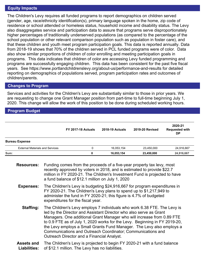#### **Equity Impacts**

The Children's Levy requires all funded programs to report demographics on children served (gender, age, race/ethnicity identification(s), primary language spoken in the home, zip code of residence or school attended or homeless status, household income and disability status. The Levy also disaggregates service and participation data to assure that programs serve disproportionately higher percentages of traditionally underserved populations (as compared to the percentage of the school population or other relevant comparison population such as population in foster care), and that these children and youth meet program participation goals. This data is reported annually. Data from 2018-19 shows that 70% of the children served in PCL funded programs were of color. Data also show similar proportions of children of color enrolling and meeting participation goals in programs. This data indicates that children of color are accessing Levy funded programming and programs are successfully engaging children. This data has been consistent for the past five fiscal years. See https://www.portlandchildrenslevy.org/about-us/performance-and-results for detailed reporting on demographics of populations served, program participation rates and outcomes of children/parents.

#### **Changes to Program**

Services and activities for the Children's Levy are substantially similar to those in prior years. We are requesting to change one Grant Manager position from part-time to full-time beginning July 1, 2020. This change will allow the work of this position to be done during scheduled working hours.

#### **Program Budget**

|                                        | <b>FY 2017-18 Actuals</b> | <b>2018-19 Actuals</b> | <b>2019-20 Revised</b> | 2020-21<br><b>Requested with</b><br><b>DP</b> |
|----------------------------------------|---------------------------|------------------------|------------------------|-----------------------------------------------|
| <b>Bureau Expense</b>                  |                           |                        |                        |                                               |
| <b>External Materials and Services</b> | υ                         | 16,053,154             | 23,450,000             | 24,916,667                                    |
| Sum:                                   |                           | 16,053,154             | 23,450,000             | 24,916,667                                    |

- **Resources:** Funding comes from the proceeds of a five-year property tax levy, most recently approved by voters in 2018, and is estimated to provide \$22.7 million in FY 2020-21. The Children's Investment Fund is projected to have a fund balance of \$12.1 million on July 1, 2020
	- **Expenses:** The Children's Levy is budgeting \$24,916,667 for program expenditures in FY 2020-21. The Children's Levy plans to spend up to \$1,217,949 to administer the fund in FY 2020-21; this figure is 4.7% of budgeted expenditures for the fiscal year.
		- **Staffing:** The Children's Levy employs 7 individuals who work 6.38 FTE. The Levy is led by the Director and Assistant Director who also serve as Grant Managers. One additional Grant Manager who will increase from 0.89 FTE to 0.9 FTE as of July 1, 2020 works for the Levy. Beginning in FY 2019-20, the Levy employs a Small Grants Fund Manager. The Levy also employs a Communications and Outreach Coordinator; Communications and Outreach Director and a Financial Analyst.

#### **Assets and Liabilities:** The Children's Levy is projected to begin FY 2020-21 with a fund balance of \$12.1 million. The Levy has no liabilities.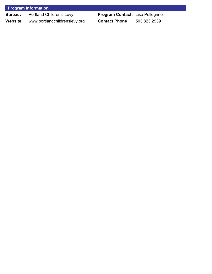| <b>Program Information</b> |                                 |                                         |              |  |  |  |  |  |  |
|----------------------------|---------------------------------|-----------------------------------------|--------------|--|--|--|--|--|--|
| <b>Bureau:</b>             | <b>Portland Children's Levy</b> | <b>Program Contact:</b> Lisa Pellegrino |              |  |  |  |  |  |  |
| Website:                   | www.portlandchildrenslevy.org   | <b>Contact Phone</b>                    | 503.823.2939 |  |  |  |  |  |  |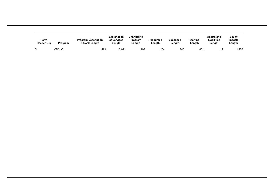| Form<br><b>Header Org</b> | Program | <b>Program Description</b><br>& GoalsLength | <b>Explanation</b><br>of Services<br>Length | <b>Changes to</b><br>Program<br>Length | <b>Resources</b><br>Length | <b>Expenses</b><br>Length | <b>Staffing</b><br>Length | Assets and<br>Liabilities<br>Length | <b>Equity</b><br>Impacts<br>Length |
|---------------------------|---------|---------------------------------------------|---------------------------------------------|----------------------------------------|----------------------------|---------------------------|---------------------------|-------------------------------------|------------------------------------|
| $\sim$<br>◡∟              | CDCIIC  | 28٬                                         | 2,091                                       | 297                                    | 264                        | 240                       | 461                       | 119                                 | ,276                               |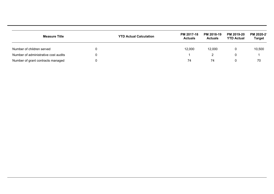| <b>Measure Title</b>                 | <b>YTD Actual Calculation</b> | PM 2017-18<br><b>Actuals</b> | PM 2018-19<br><b>Actuals</b> | PM 2019-20<br><b>YTD Actual</b> | PM 2020-2<br><b>Target</b> |
|--------------------------------------|-------------------------------|------------------------------|------------------------------|---------------------------------|----------------------------|
| Number of children served            |                               | 12,000                       | 12,000                       | 0                               | 10,500                     |
| Number of administrative cost audits |                               |                              |                              | 0                               |                            |
| Number of grant contracts managed    |                               | 74                           | 74                           |                                 | 70                         |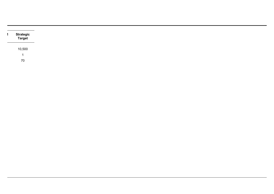| the contract of the contract of the contract of the contract of the contract of the contract of the contract of |
|-----------------------------------------------------------------------------------------------------------------|
| <b>Strategic</b>                                                                                                |
| <b>Target</b>                                                                                                   |
| 10,500                                                                                                          |
|                                                                                                                 |
| 70                                                                                                              |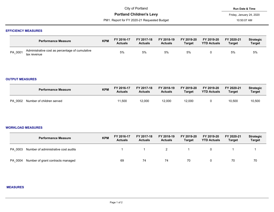PM1. Report for FY 2020-21 Requested Budget 10:50:07 AM

#### **EFFICIENCY MEASURES**

|         | <b>Performance Measure</b>                                     | <b>KPM</b> | FY 2016-17<br><b>Actuals</b> | FY 2017-18<br><b>Actuals</b> | FY 2018-19<br><b>Actuals</b> | FY 2019-20<br><b>Target</b> | FY 2019-20<br><b>YTD Actuals</b> | FY 2020-21<br><b>Target</b> | <b>Strategic</b><br><b>Target</b> |
|---------|----------------------------------------------------------------|------------|------------------------------|------------------------------|------------------------------|-----------------------------|----------------------------------|-----------------------------|-----------------------------------|
| PA_0001 | Administrative cost as percentage of cumulative<br>tax revenue |            | 5%                           | 5%                           | 5%                           | 5%                          |                                  | 5%                          | 5%                                |

#### **OUTPUT MEASURES**

| <b>Performance Measure</b>           | <b>KPM</b> | FY 2016-17<br><b>Actuals</b> | FY 2017-18<br>Actuals | FY 2018-19<br><b>Actuals</b> | FY 2019-20<br><b>Target</b> | FY 2019-20<br><b>YTD Actuals</b> | FY 2020-21<br><b>Target</b> | <b>Strategic</b><br><b>Target</b> |
|--------------------------------------|------------|------------------------------|-----------------------|------------------------------|-----------------------------|----------------------------------|-----------------------------|-----------------------------------|
| Number of children served<br>PA 0002 |            | 1.500                        | 12,000                | 12.000                       | 12.000                      |                                  | 10,500                      | 10,500                            |

#### **WORKLOAD MEASURES**

|         | <b>Performance Measure</b>           | <b>KPM</b> | FY 2016-17<br><b>Actuals</b> | FY 2017-18<br><b>Actuals</b> | FY 2018-19<br><b>Actuals</b> | FY 2019-20<br><b>Target</b> | FY 2019-20<br><b>YTD Actuals</b> | FY 2020-21<br><b>Target</b> | <b>Strategic</b><br><b>Target</b> |
|---------|--------------------------------------|------------|------------------------------|------------------------------|------------------------------|-----------------------------|----------------------------------|-----------------------------|-----------------------------------|
| PA 0003 | Number of administrative cost audits |            |                              |                              |                              |                             |                                  |                             |                                   |
| PA 0004 | Number of grant contracts managed    |            | 69                           | 74                           | 74                           | 70                          |                                  | 70                          | 70                                |

#### **MEASURES**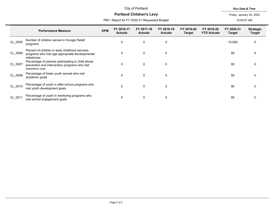#### City of Portland **Run Date & Time**

**Portland Children's Levy Friday, January 24, 2020** 

PM1. Report for FY 2020-21 Requested Budget 10:50:07 AM

|         | <b>Performance Measure</b>                                                                                           | <b>KPM</b> | FY 2016-17<br><b>Actuals</b> | FY 2017-18<br><b>Actuals</b> | FY 2018-19<br><b>Actuals</b> | FY 2019-20<br><b>Target</b> | FY 2019-20<br><b>YTD Actuals</b> | FY 2020-21<br><b>Target</b> | <b>Strategic</b><br><b>Target</b> |
|---------|----------------------------------------------------------------------------------------------------------------------|------------|------------------------------|------------------------------|------------------------------|-----------------------------|----------------------------------|-----------------------------|-----------------------------------|
| CL_0005 | Number of children served in Hunger Relief<br>programs                                                               |            | 0                            | 0                            | 0                            |                             |                                  | 10,000                      | 0                                 |
| CL_0006 | Percent of children in early childhood services<br>programs who met age appropriate developmental<br>milestones      |            | 0                            | 0                            | 0                            |                             |                                  | 85                          | 0                                 |
| CL_0007 | Percentage of parents participating in child abuse<br>prevention and intervention programs who met<br>narenting goal |            | 0                            | 0                            | 0                            |                             |                                  | 80                          | 0                                 |
| CL 0008 | Percentage of foster youth served who met<br>academic goals                                                          |            | 0                            | 0                            | 0                            |                             |                                  | 85                          | 0                                 |
| CL 0010 | Percentage of youth in after-school programs who<br>met youth development goals                                      |            | 0                            | $\mathbf 0$                  | $\mathbf{0}$                 |                             |                                  | 80                          | 0                                 |
| CL 0011 | Percentage of youth in mentoring programs who<br>met school engagement goals                                         |            | 0                            | 0                            | 0                            |                             |                                  | 85                          | 0                                 |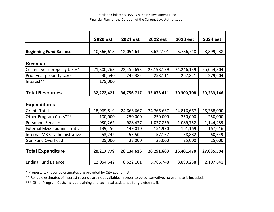|                                          | 2020 est   | 2021 est   | 2022 est   | 2023 est   | 2024 est   |
|------------------------------------------|------------|------------|------------|------------|------------|
| <b>Beginning Fund Balance</b>            | 10,566,618 | 12,054,642 | 8,622,101  | 5,786,748  | 3,899,238  |
| Revenue                                  |            |            |            |            |            |
| Current year property taxes*             | 21,300,263 | 22,456,693 | 23,198,199 | 24,246,139 | 25,054,304 |
| Prior year property taxes                | 230,540    | 245,382    | 258,111    | 267,821    | 279,604    |
| Interest**                               | 175,000    |            |            |            |            |
| <b>Total Resources</b>                   | 32,272,421 | 34,756,717 | 32,078,411 | 30,300,708 | 29,233,146 |
| <b>Expenditures</b>                      |            |            |            |            |            |
| <b>Grants Total</b>                      | 18,969,819 | 24,666,667 | 24,766,667 | 24,816,667 | 25,388,000 |
| Other Program Costs***                   | 100,000    | 250,000    | 250,000    | 250,000    | 250,000    |
| <b>Personnel Services</b>                | 930,262    | 988,437    | 1,037,859  | 1,089,752  | 1,144,239  |
| <b>External M&amp;S - administrative</b> | 139,456    | 149,010    | 154,970    | 161,169    | 167,616    |
| Internal M&S - administrative            | 53,242     | 55,502     | 57,167     | 58,882     | 60,649     |
| <b>Gen Fund Overhead</b>                 | 25,000     | 25,000     | 25,000     | 25,000     | 25,000     |
| <b>Total Expenditure</b>                 | 20,217,779 | 26,134,616 | 26,291,663 | 26,401,470 | 27,035,504 |
| <b>Ending Fund Balance</b>               | 12,054,642 | 8,622,101  | 5,786,748  | 3,899,238  | 2,197,641  |

\* Property tax revenue estimates are provided by City Economist.

\*\* Reliable estimates of interest revenue are not available. In order to be conservative, no estimate is included.

\*\*\* Other Program Costs include training and technical assistance for grantee staff.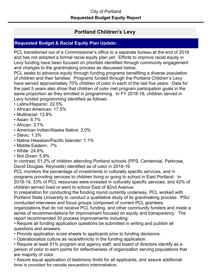## **Portland Children's Levy**

## **Requested Budget & Racial Equity Plan Update:**

PCL transitioned out of a Commissioner's office to a separate bureau at the end of 2018 and has not adopted a formal racial equity plan yet. Efforts to improve racial equity in Levy funding have been focused on priorities identified through community engagement and changes to the grantmaking process as discussed below.

PCL seeks to advance equity through funding programs benefiting a diverse population of children and their families. Programs funded through the Portland Children's Levy have served approximately 70% children of color in each of the last five years. Data for the past 5 years also show that children of color met program participation goals in the same proportion as they enrolled in programming. In FY 2018-19, children served in Levy funded programming identified as follows:

- Latinx/Hispanic: 22.5%
- African American: 17.5%
- Multiracial: 13.8%
- Asian: 6.7%
- African: 3.7%
- American Indian/Alaska Native: 2.0%
- Slavic: 1.3%
- Native Hawaiian/Pacific Islander: 1.1%
- Middle Eastern: .7%
- White: 24.6%
- Not Given: 5.9%

In contrast, 51.2% of children attending Portland schools (PPS, Centennial, Parkrose, David Douglas, Reynolds) identified as of color in 2018-19.

PCL monitors the percentage of investments in culturally specific services, and in programs providing services to children living or going to school in East Portland. In 2018-19, 33% of PCL resources were invested in culturally specific services, and 42% of children served lived or went to school East of 82nd Avenue.

In preparation for conducting the funding round currently underway, PCL worked with Portland State University to conduct a qualitative study of its grantmaking process. PSU conducted interviews and focus groups composed of current PCL grantees,

organizations that do not receive PCL funding, and other community funders and made a series of recommendations for improvement focused on equity and transparency. The report recommended 30 process improvements including:

• Require all funding application questions be submitted in writing and publish all questions and answers.

- Provide application score sheets to applicants prior to funding decisions.
- Operationalize culture as race/ethnicity in the funding application.
- Require at least 51% program and agency staff, and board of directors identify as a person of color to earn points for reflectiveness of organization serving populations that are majority of color.

• Assure equal application of testimony limits for all applicants, and assure additional time is provided for people requesting interpretation.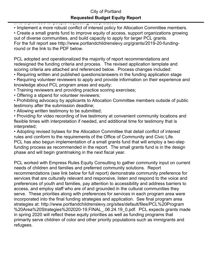## City of Portland  $\blacksquare$  Requested Budget Equity Report

time is provided for people requesting interpretation. • Implement a more robust conflict of interest policy for Allocation Committee members.

• Create a small grants fund to improve equity of access, support organizations growing out of diverse communities, and build capacity to apply for larger PCL grants. For the full report see http://www.portlandchildrenslevy.org/grants/2019-20-fundinground or the link to the PDF below.

PCL adopted and operationalized the majority of report recommendations and redesigned the funding criteria and process. The revised application template and scoring criteria are attached and referenced below. Process changes included:

• Requiring written and published questions/answers in the funding application stage

• Requiring volunteer reviewers to apply and provide information on their experience and knowledge about PCL program areas and equity;

- Training reviewers and providing practice scoring exercises;
- Offering a stipend for volunteer reviewers;
- Prohibiting advocacy by applicants to Allocation Committee members outside of public testimony after the submission deadline;
- Allowing written testimony to be submitted;

• Providing for video recording of live testimony at convenient community locations and flexible times with interpretation if needed, and additional time for testimony that is interpreted;

• Adopting revised bylaws for the Allocation Committee that detail conflict of interest rules and conform to the requirements of the Office of Community and Civic Life. PCL has also begun implementation of a small grants fund that will employ a two-step funding process as recommended in the report. The small grants fund is in the design phase and will begin grantmaking in the next fiscal year.

PCL worked with Empress Rules Equity Consulting to gather community input on current needs of children and families and preferred community solutions. Report recommendations (see link below for full report) demonstrate community preference for services that are culturally relevant and responsive, listen and respond to the voice and preferences of youth and families, pay attention to accessibility and address barriers to access, and employ staff who are of and grounded in the cultural communities they serve. These priorities along with preferences for services in each program area were incorporated into the final funding strategies and application. See final program area strategies at: http://www.portlandchildrenslevy.org/sites/default/files/PCL%20Program %20Area%20Strategies%202020-19.FINAL\_.06.24.19\_0.pdf. PCL expects grants made in spring 2020 will reflect these equity priorities as well as funding programs that primarily serve children of color and other priority populations such as immigrants and refugees.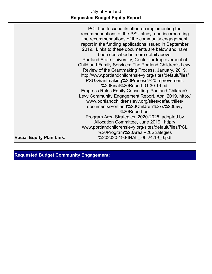## City of Portland **Requested Budget Equity Report**

**Racial Equity Plan Link:** PCL has focused its effort on implementing the recommendations of the PSU study, and incorporating the recommendations of the community engagement report in the funding applications issued in September 2019. Links to these documents are below and have been described in more detail above. Portland State University, Center for Improvement of Child and Family Services: The Portland Children's Levy: Review of the Grantmaking Process, January, 2019. http://www.portlandchildrenslevy.org/sites/default/files/ PSU.Grantmaking%20Process%20Improvement. %20Final%20Report.01.30.19.pdf Empress Rules Equity Consulting: Portland Children's Levy Community Engagement Report, April 2019. http:// www.portlandchildrenslevy.org/sites/default/files/ documents/Portland%20Children%27s%20Levy %20Report.pdf Program Area Strategies, 2020-2025, adopted by Allocation Committee, June 2019. http:// www.portlandchildrenslevy.org/sites/default/files/PCL %20Program%20Area%20Strategies %202020-19.FINAL\_.06.24.19\_0.pdf

**Requested Budget Community Engagement:**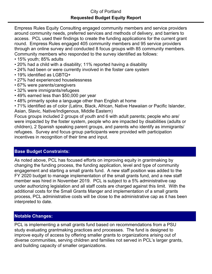## City of Portland **Requested Budget Equity Report**

Empress Rules Equity Consulting engaged community members and service providers around community needs, preferred services and methods of delivery, and barriers to access. PCL used their findings to create the funding applications for the current grant round. Empress Rules engaged 405 community members and 95 service providers through an online survey and conducted 8 focus groups with 85 community members. Community members who responded to the survey identified as follows:

- 15% youth; 85% adults
- 20% had a child with a disability; 11% reported having a disability
- 24% had been or were currently involved in the foster care system
- 19% identified as LGBTQ+
- 27% had experienced houselessness
- 67% were parents/caregivers
- 32% were immigrants/refugees
- 49% earned less than \$50,000 per year
- 48% primarily spoke a language other than English at home
- 71% identified as of color (Latinx, Black, African, Native Hawaiian or Pacific Islander, Asian, Slavic, Native/Indigenous, Middle Eastern)

Focus groups included 2 groups of youth and 6 with adult parents; people who are/ were impacted by the foster system, people who are impacted by disabilities (adults or children), 2 Spanish speaking parent groups, and parents who identify as immigrants/ refugees. Survey and focus group participants were provided with participation incentives in recognition of their time and input.

## **Base Budget Constraints:**

As noted above, PCL has focused efforts on improving equity in grantmaking by changing the funding process, the funding application, level and type of community engagement and starting a small grants fund. A new staff position was added to the FY 2020 budget to manage implementation of the small grants fund, and a new staff member was hired in November 2019. PCL is subject to a 5% administrative cap under authorizing legislation and all staff costs are charged against this limit. With the additional costs for the Small Grants Manger and implementation of a small grants process, PCL administrative costs will be close to the administrative cap as it has been interpreted to date.

## **Notable Changes:**

PCL is implementing a small grants fund based on recommendations from a PSU study evaluating grantmaking practices and processes. The fund is designed to improve equity of access by offering smaller grants to organizations arising out of diverse communities, serving children and families not served in PCL's larger grants, and building capacity of smaller organizations.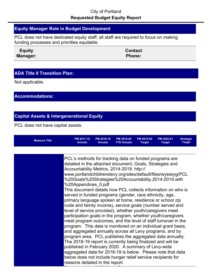## City of Portland **Requested Budget Equity Report**

**Contact Phone:**

## **Equity Manager Role in Budget Development**

PCL does not have dedicated equity staff; all staff are required to focus on making funding processes and priorities equitable.

| <b>Equity</b> |  |  |
|---------------|--|--|
| Manager:      |  |  |

## **ADA Title II Transition Plan:**

Not applicable.

**Accommodations:**

## **Capital Assets & Intergenerational Equity**

PCL does not have capital assets.

| <b>Measure Title</b> | <b>PM 2017-18</b><br><b>Actuals</b>                                                                                                                                                                                                                                                                                                                                                                                                                                                                                                                                                                                                                                                                                                                                                                                                                                                                                                                                                                                                                                                                                                                                                                                                                 | PM 2018-19<br><b>Actuals</b> | PM 2019-20<br><b>YTD Actuals</b> | PM 2019-20<br><b>Target</b> | PM 2020-21<br><b>Target</b> | <b>Strategic</b><br><b>Target</b> |
|----------------------|-----------------------------------------------------------------------------------------------------------------------------------------------------------------------------------------------------------------------------------------------------------------------------------------------------------------------------------------------------------------------------------------------------------------------------------------------------------------------------------------------------------------------------------------------------------------------------------------------------------------------------------------------------------------------------------------------------------------------------------------------------------------------------------------------------------------------------------------------------------------------------------------------------------------------------------------------------------------------------------------------------------------------------------------------------------------------------------------------------------------------------------------------------------------------------------------------------------------------------------------------------|------------------------------|----------------------------------|-----------------------------|-----------------------------|-----------------------------------|
|                      |                                                                                                                                                                                                                                                                                                                                                                                                                                                                                                                                                                                                                                                                                                                                                                                                                                                                                                                                                                                                                                                                                                                                                                                                                                                     |                              |                                  |                             |                             |                                   |
|                      | PCL's methods for tracking data on funded programs are<br>detailed in the attached document, Goals, Strategies and<br>Accountability Metrics, 2014-2019. http://<br>www.portlandchildrenslevy.org/sites/default/files/wysiwyg/PCL<br>%20Goals%20Strategies%20Accountability.2014-2019.with<br>%20Appendices 0.pdf<br>This document details how PCL collects information on who is<br>served in funded programs (gender, race ethnicity, age,<br>primary language spoken at home, residence or school zip<br>code and family income), service goals (number served and<br>level of service provided), whether youth/caregivers meet<br>participation goals in the program, whether youth/caregivers<br>meet program outcomes, and the level of staff turnover in the<br>program. This data is monitored on an individual grant basis,<br>and aggregated annually across all Levy programs, and by<br>program area. PCL publishes the aggregated data annually.<br>The 2018-19 report is currently being finalized and will be<br>published in February 2020. A summary of Levy-wide<br>aggregated data for 2018-19 is below. Please note that data<br>below does not include hunger relief service recipients for<br>reasons detailed in the report. |                              |                                  |                             |                             |                                   |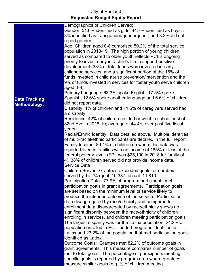#### **City of Portland and 2018-19 is below. Please note that data for 2018-19 is below. Requested Budget Equity Report** below does not include the contract service recognise recognise recognise recognise recognise recognise recognise  $\mathbf{p}_i$ requested Duaget Equity

|                      | Demographics of Children Served:                                                                         |
|----------------------|----------------------------------------------------------------------------------------------------------|
|                      | Gender: 51.6% identified as girls; 44.7% identified as boys, .                                           |
|                      | 3% identified as transgender/genderqueer, and 3.3% did not                                               |
|                      | report gender.                                                                                           |
|                      | Age: Children aged 0-8 comprised 50.2% of the total service                                              |
|                      | population in 2018-19. The high portion of young children                                                |
|                      | served as compared to older youth reflects PCL's ongoing                                                 |
|                      | priority to invest early in a child's life to support positive                                           |
|                      | development (33% of total funds were invested in early                                                   |
|                      | childhood services, and a significant portion of the 16% of                                              |
|                      | funds invested in child abuse prevention/intervention and the                                            |
|                      | 9% of funds invested in services for foster youth serve children                                         |
|                      | aged 0-8).                                                                                               |
|                      | Primary Language: 63.3% spoke English, 17.5% spoke                                                       |
| <b>Data Tracking</b> | Spanish, 12.6% spoke another language and 6.6% of children                                               |
| <b>Methodology:</b>  | did not report data.                                                                                     |
|                      | Disability: 4% of children and 11.5% of caregivers served had                                            |
|                      | a disability.                                                                                            |
|                      | Residence: 42% of children resided or went to school east of                                             |
|                      | 82nd Ave in 2018-19; average of 44.4% over past five fiscal                                              |
|                      | years.                                                                                                   |
|                      | Racial/Ethnic Identity: Data detailed above. Multiple identities                                         |
|                      | of multi-racial/ethnic participants are detailed in the full report.                                     |
|                      | Family Income: 89.4% of children on whom this data was                                                   |
|                      | reported lived in families with an income at 185% or less of the                                         |
|                      | federal poverty level; (FPL was \$25,100 in 2018 for family of                                           |
|                      | 4). 38% of children served did not provide income data.                                                  |
|                      | <b>Service Data</b>                                                                                      |
|                      | Children Served: Grantees exceeded goals for numbers                                                     |
|                      | served by 14.2% (goal: 10,337; actual: 11,810).<br>Participation Data: 77.9% of program participants met |
|                      | participation goals in grant agreements. Participation goals                                             |
|                      | are set based on the minimum level of service likely to                                                  |
|                      | produce the intended outcome of the service. Participation                                               |
|                      | data disaggregated by race/ethnicity and compared to                                                     |
|                      | enrollment data disaggregated by race/ethnicity shows no                                                 |
|                      | significant disparity between the race/ethnicity of children                                             |
|                      | enrolling in services, and children meeting participation goals.                                         |
|                      | The largest disparity was for the Latinx population: 24.2% of                                            |
|                      | population enrolled in PCL funded programs identified as                                                 |
|                      | Latinx and 23.2% of the population that met participation goals                                          |
|                      | identified as Latinx.                                                                                    |
|                      | Outcome Goals: Grantees met 82.2% of outcome goals in                                                    |
|                      | grant agreements. This measure compares number of goals                                                  |
|                      | met to total goals. The percentage of participants meeting                                               |
|                      | specific goals is reported by program area where grantees                                                |
|                      | measure similar goals (e.g. % of children meeting                                                        |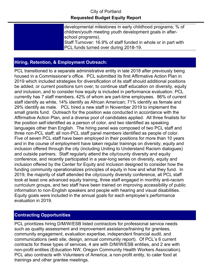## **City of Portland** goals. The percentage of participants meeting of participants meeting meeting meeting meeting meeting meeting of participants meeting meeting meeting meeting meeting meeting meeting meeting meeting meeti **Requested Budget Equity Report** measure similar goals (e.g. % of children meeting

developmental milestones in early childhood programs; % of children/youth meeting youth development goals in afterschool programs). Staff Turnover: 16.9% of staff funded in whole or in part with

PCL funds turned over during 2018-19.

## **Hiring, Retention, & Employment Outreach:**

PCL transitioned to a separate administrative entity in late 2018 after previously being housed in a Commissioner's office. PCL submitted its first Affirmative Action Plan in 2019 which included strategies for diversification of its staff should additional positions be added, or current positions turn over, to continue staff education on diversity, equity and inclusion, and to consider how equity is included in performance evaluation. PCL currently has 7 staff members, 42% of whom are part-time employees. 86% of current staff identify as white, 14% identify as African American; 71% identify as female and 29% identify as male. PCL hired a new staff in November 2019 to implement the small grants fund. Outreach for the position was conducted in accordance with the Affirmative Action Plan, and a diverse pool of candidates applied. All three finalists for the position self-identified as a person of color, and two identified as speaking languages other than English. The hiring panel was composed of two PCL staff and three non-PCL staff; all non-PCL staff panel members identified as people of color. Five of seven PCL staff have been employed in their positions for more than 10 years and in the course of employment have taken regular trainings on diversity, equity and inclusion offered through the city (including Uniting to Understand Racism dialogues) and outside partners. Staff regularly attend the city/county diversity and equity conference, and recently participated in a year-long series on diversity, equity and inclusion offered by the Center for Equity and Inclusion designed to consider how the funding community operationalizes principles of equity in how and what they fund. In 2019, the majority of staff attended the city/county diversity conference, all PCL staff took at least one advanced equity training, three staff engaged in monthly anti-racism curriculum groups, and two staff have been trained on improving accessibility of public information to non-English speakers and people with hearing and visual disabilities. Equity goals were included in the annual goals for each employee's performance evaluation in 2019.

## **Contracting Opportunities**

PCL prioritizes hiring D/M/W/ESB listed contractors for professional service needs such as quality assessment and improvement assistance/training for grantees, community engagement, evaluation expertise, independent financial audit, and communications (web site, design, annual community report). Of PCL's 6 current contracts for these types of services, 4 are with D/M/W/ESB entities, and 2 are with non-profit entities (Education NW, Oregon Community Health Workers Association). PCL also contracts with Volunteers of America, a non-profit entity, to cater food at trainings and other grantee meetings.